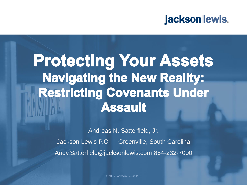### jacksonlewis.

# **Protecting Your Assets Navigating the New Reality: Restricting Covenants Under Assault**

Andreas N. Satterfield, Jr. Jackson Lewis P.C. | Greenville, South Carolina Andy.Satterfield@jacksonlewis.com 864-232-7000

©2017 Jackson Lewis P.C.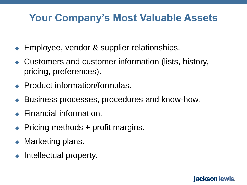## **Your Company's Most Valuable Assets**

- Employee, vendor & supplier relationships.
- Customers and customer information (lists, history, pricing, preferences).
- **◆ Product information/formulas.**
- Business processes, procedures and know-how.
- ◆ Financial information.
- $\rightarrow$  Pricing methods + profit margins.
- Marketing plans.
- Intellectual property.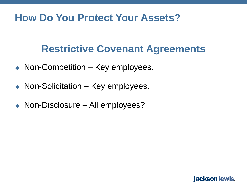### **How Do You Protect Your Assets?**

### **Restrictive Covenant Agreements**

- ◆ Non-Competition Key employees.
- ◆ Non-Solicitation Key employees.
- ◆ Non-Disclosure All employees?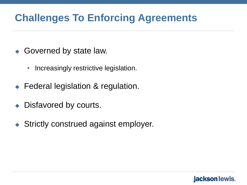## **Challenges To Enforcing Agreements**

- ◆ Governed by state law.
	- Increasingly restrictive legislation.
- Federal legislation & regulation.
- Disfavored by courts.
- Strictly construed against employer.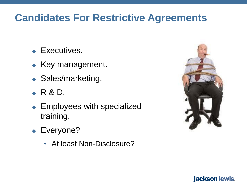## **Candidates For Restrictive Agreements**

- **Executives.**
- $\triangle$  Key management.
- ◆ Sales/marketing.
- $\bullet$  R & D.
- ◆ Employees with specialized training.
- ◆ Everyone?
	- At least Non-Disclosure?

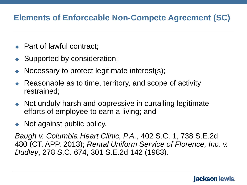### **Elements of Enforceable Non-Compete Agreement (SC)**

- **← Part of lawful contract;**
- Supported by consideration;
- Necessary to protect legitimate interest(s);
- ◆ Reasonable as to time, territory, and scope of activity restrained;
- Not unduly harsh and oppressive in curtailing legitimate efforts of employee to earn a living; and
- Not against public policy.

*Baugh v. Columbia Heart Clinic, P.A.*, 402 S.C. 1, 738 S.E.2d 480 (CT. APP. 2013); *Rental Uniform Service of Florence, Inc. v. Dudley*, 278 S.C. 674, 301 S.E.2d 142 (1983).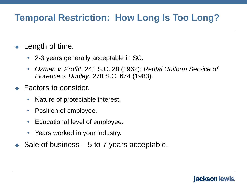### **Temporal Restriction: How Long Is Too Long?**

- Length of time.
	- 2-3 years generally acceptable in SC.
	- *Oxman v. Proffit*, 241 S.C. 28 (1962); *Rental Uniform Service of Florence v. Dudley*, 278 S.C. 674 (1983).
- Factors to consider.
	- Nature of protectable interest.
	- Position of employee.
	- Educational level of employee.
	- Years worked in your industry.
- Sale of business 5 to 7 years acceptable.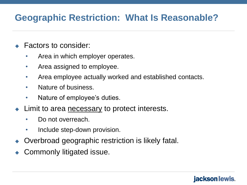### **Geographic Restriction: What Is Reasonable?**

- Factors to consider:
	- Area in which employer operates.
	- Area assigned to employee.
	- Area employee actually worked and established contacts.
	- Nature of business.
	- Nature of employee's duties.
- Limit to area **necessary** to protect interests.
	- Do not overreach.
	- Include step-down provision.
- Overbroad geographic restriction is likely fatal.
- Commonly litigated issue.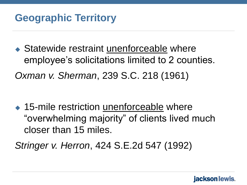◆ Statewide restraint unenforceable where employee's solicitations limited to 2 counties. *Oxman v. Sherman*, 239 S.C. 218 (1961)

◆ 15-mile restriction unenforceable where "overwhelming majority" of clients lived much closer than 15 miles.

*Stringer v. Herron*, 424 S.E.2d 547 (1992)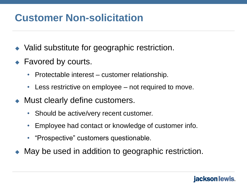### **Customer Non-solicitation**

- ◆ Valid substitute for geographic restriction.
- ◆ Favored by courts.
	- Protectable interest customer relationship.
	- Less restrictive on employee not required to move.
- Must clearly define customers.
	- Should be active/very recent customer.
	- Employee had contact or knowledge of customer info.
	- "Prospective" customers questionable.
- May be used in addition to geographic restriction.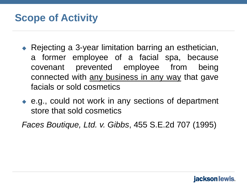### **Scope of Activity**

- ◆ Rejecting a 3-year limitation barring an esthetician, a former employee of a facial spa, because covenant prevented employee from being connected with any business in any way that gave facials or sold cosmetics
- ◆ e.g., could not work in any sections of department store that sold cosmetics

*Faces Boutique, Ltd. v. Gibbs*, 455 S.E.2d 707 (1995)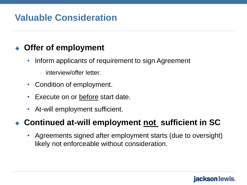### **Valuable Consideration**

### **Offer of employment**

- Inform applicants of requirement to sign Agreement
	- interview/offer letter.
- Condition of employment.
- Execute on or before start date.
- At-will employment sufficient.

#### **Continued at-will employment not sufficient in SC**

• Agreements signed after employment starts (due to oversight) likely not enforceable without consideration.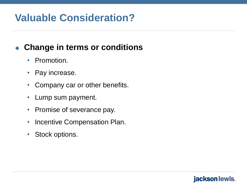## **Valuable Consideration?**

### **Change in terms or conditions**

- Promotion.
- Pay increase.
- Company car or other benefits.
- Lump sum payment.
- Promise of severance pay.
- Incentive Compensation Plan.
- Stock options.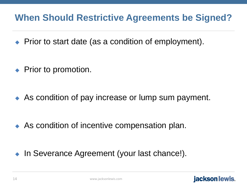### **When Should Restrictive Agreements be Signed?**

- ◆ Prior to start date (as a condition of employment).
- ◆ Prior to promotion.
- As condition of pay increase or lump sum payment.

- ◆ As condition of incentive compensation plan.
- In Severance Agreement (your last chance!).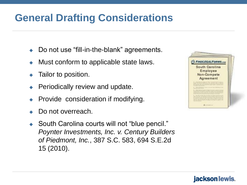## **General Drafting Considerations**

- Do not use "fill-in-the-blank" agreements.
- Must conform to applicable state laws.
- Tailor to position.
- Periodically review and update.
- Provide consideration if modifying.
- Do not overreach.
- ◆ South Carolina courts will not "blue pencil." *Poynter Investments, Inc. v. Century Builders of Piedmont, Inc.*, 387 S.C. 583, 694 S.E.2d 15 (2010).

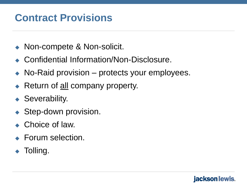## **Contract Provisions**

- ◆ Non-compete & Non-solicit.
- ◆ Confidential Information/Non-Disclosure.
- ◆ No-Raid provision protects your employees.
- Return of <u>all</u> company property.
- ◆ Severability.
- Step-down provision.
- ◆ Choice of law.
- ◆ Forum selection.
- Tolling.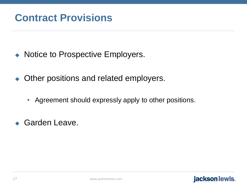- Notice to Prospective Employers.
- ◆ Other positions and related employers.
	- Agreement should expressly apply to other positions.
- ◆ Garden Leave.

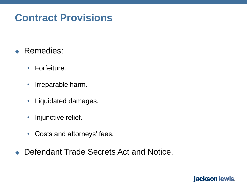### **Contract Provisions**

- ◆ Remedies:
	- Forfeiture.
	- Irreparable harm.
	- Liquidated damages.
	- Injunctive relief.
	- Costs and attorneys' fees.
- ◆ Defendant Trade Secrets Act and Notice.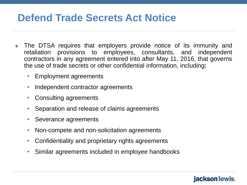### **Defend Trade Secrets Act Notice**

- The DTSA requires that employers provide notice of its immunity and retaliation provisions to employees, consultants, and independent contractors in any agreement entered into after May 11, 2016, that governs the use of trade secrets or other confidential information, including**:**
	- Employment agreements
	- Independent contractor agreements
	- Consulting agreements
	- Separation and release of claims agreements
	- Severance agreements
	- Non-compete and non-solicitation agreements
	- Confidentiality and proprietary rights agreements
	- Similar agreements included in employee handbooks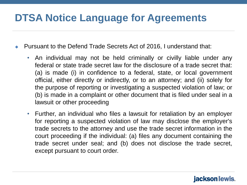## **DTSA Notice Language for Agreements**

- Pursuant to the Defend Trade Secrets Act of 2016, I understand that:
	- An individual may not be held criminally or civilly liable under any federal or state trade secret law for the disclosure of a trade secret that: (a) is made (i) in confidence to a federal, state, or local government official, either directly or indirectly, or to an attorney; and (ii) solely for the purpose of reporting or investigating a suspected violation of law; or (b) is made in a complaint or other document that is filed under seal in a lawsuit or other proceeding
	- Further, an individual who files a lawsuit for retaliation by an employer for reporting a suspected violation of law may disclose the employer's trade secrets to the attorney and use the trade secret information in the court proceeding if the individual: (a) files any document containing the trade secret under seal; and (b) does not disclose the trade secret, except pursuant to court order.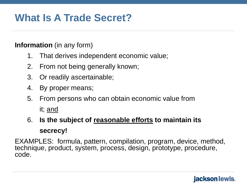## **What Is A Trade Secret?**

#### **Information** (in any form)

- 1. That derives independent economic value;
- 2. From not being generally known;
- 3. Or readily ascertainable;
- 4. By proper means;
- 5. From persons who can obtain economic value from it; and
- 6. **Is the subject of reasonable efforts to maintain its secrecy!**

EXAMPLES: formula, pattern, compilation, program, device, method, technique, product, system, process, design, prototype, procedure, code.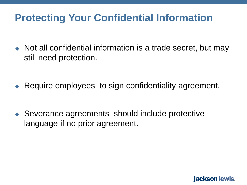- Not all confidential information is a trade secret, but may still need protection.
- Require employees to sign confidentiality agreement.

◆ Severance agreements should include protective language if no prior agreement.

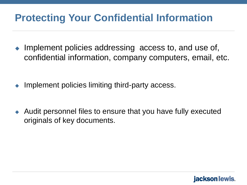- Implement policies addressing access to, and use of, confidential information, company computers, email, etc.
- Implement policies limiting third-party access.
- Audit personnel files to ensure that you have fully executed originals of key documents.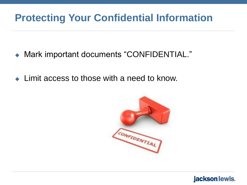- Mark important documents "CONFIDENTIAL."
- ◆ Limit access to those with a need to know.

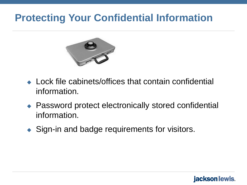

- ◆ Lock file cabinets/offices that contain confidential information.
- ◆ Password protect electronically stored confidential information.

jacksonllewis.

◆ Sign-in and badge requirements for visitors.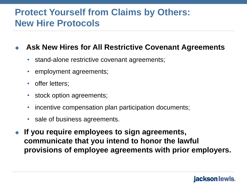### **Protect Yourself from Claims by Others: New Hire Protocols**

#### **Ask New Hires for All Restrictive Covenant Agreements**

- stand-alone restrictive covenant agreements;
- employment agreements;
- offer letters;
- stock option agreements;
- incentive compensation plan participation documents;
- sale of business agreements.
- **If you require employees to sign agreements, communicate that you intend to honor the lawful provisions of employee agreements with prior employers.**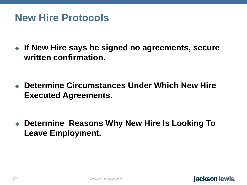**If New Hire says he signed no agreements, secure written confirmation.** 

 **Determine Circumstances Under Which New Hire Executed Agreements.**

 **Determine Reasons Why New Hire Is Looking To Leave Employment.**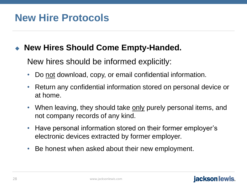### **New Hires Should Come Empty-Handed.**

New hires should be informed explicitly:

- Do not download, copy, or email confidential information.
- Return any confidential information stored on personal device or at home.
- When leaving, they should take only purely personal items, and not company records of any kind.
- Have personal information stored on their former employer's electronic devices extracted by former employer.
- Be honest when asked about their new employment.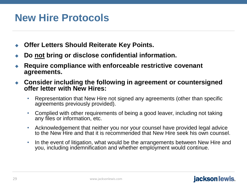- **Offer Letters Should Reiterate Key Points.**
- **Do not bring or disclose confidential information.**
- **Require compliance with enforceable restrictive covenant agreements.**
- **Consider including the following in agreement or countersigned offer letter with New Hires:**
	- Representation that New Hire not signed any agreements (other than specific agreements previously provided).
	- Complied with other requirements of being a good leaver, including not taking any files or information, etc.
	- Acknowledgement that neither you nor your counsel have provided legal advice to the New Hire and that it is recommended that New Hire seek his own counsel.
	- In the event of litigation, what would be the arrangements between New Hire and you, including indemnification and whether employment would continue.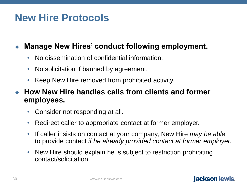#### **Manage New Hires' conduct following employment.**

- No dissemination of confidential information.
- No solicitation if banned by agreement.
- Keep New Hire removed from prohibited activity.

 **How New Hire handles calls from clients and former employees.** 

- Consider not responding at all.
- Redirect caller to appropriate contact at former employer.
- If caller insists on contact at your company, New Hire *may be able* to provide contact *if he already provided contact at former employer.*
- New Hire should explain he is subject to restriction prohibiting contact/solicitation.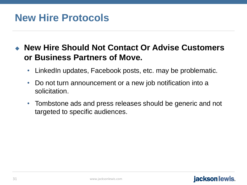#### **New Hire Should Not Contact Or Advise Customers or Business Partners of Move.**

- LinkedIn updates, Facebook posts, etc. may be problematic.
- Do not turn announcement or a new job notification into a solicitation.
- Tombstone ads and press releases should be generic and not targeted to specific audiences.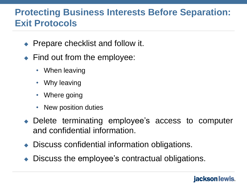### **Protecting Business Interests Before Separation: Exit Protocols**

- $\rightarrow$  Prepare checklist and follow it.
- $\blacktriangleright$  Find out from the employee:
	- When leaving
	- Why leaving
	- Where going
	- New position duties
- Delete terminating employee's access to computer and confidential information.
- ◆ Discuss confidential information obligations.
- Discuss the employee's contractual obligations.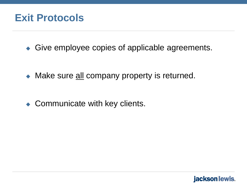### **Exit Protocols**

◆ Give employee copies of applicable agreements.

• Make sure all company property is returned.

◆ Communicate with key clients.

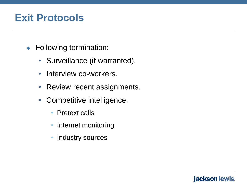### **Exit Protocols**

- ◆ Following termination:
	- Surveillance (if warranted).
	- Interview co-workers.
	- Review recent assignments.
	- Competitive intelligence.
		- Pretext calls
		- Internet monitoring
		- Industry sources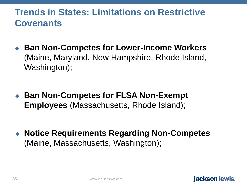### **Trends in States: Limitations on Restrictive Covenants**

◆ Ban Non-Competes for Lower-Income Workers (Maine, Maryland, New Hampshire, Rhode Island, Washington);

◆ Ban Non-Competes for FLSA Non-Exempt **Employees** (Massachusetts, Rhode Island);

 **Notice Requirements Regarding Non-Competes**  (Maine, Massachusetts, Washington);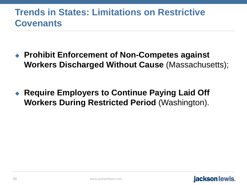### **Trends in States: Limitations on Restrictive Covenants**

 **Prohibit Enforcement of Non-Competes against Workers Discharged Without Cause** (Massachusetts);

 **Require Employers to Continue Paying Laid Off Workers During Restricted Period** (Washington).

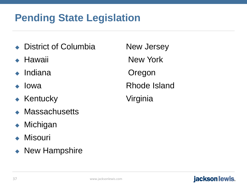## **Pending State Legislation**

- District of Columbia Mew Jersey
- 
- 
- 
- ◆ Kentucky Virginia
- **Massachusetts**
- Michigan
- Misouri
- New Hampshire

◆ Hawaii New York Indiana Oregon Iowa **Rhode Island**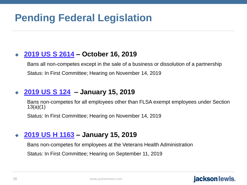## **Pending Federal Legislation**

#### **[2019 US S 2614](http://custom.statenet.com/public/resources.cgi?id=ID:bill:US2019000S2614&cuiq=823c6028-b366-5692-a2bb-4278ec6ad2a0&client_md=c017578ded7e33c944d864aeab197e4c&mode=current_text) – October 16, 2019**

Bans all non-competes except in the sale of a business or dissolution of a partnership Status: In First Committee; Hearing on November 14, 2019

#### **[2019 US S 124](http://custom.statenet.com/public/resources.cgi?id=ID:bill:US2019000S124&cuiq=823c6028-b366-5692-a2bb-4278ec6ad2a0&client_md=5f01057fda9686a51f710c99d6cce99f&mode=current_text) – January 15, 2019**

Bans non-competes for all employees other than FLSA exempt employees under Section 13(a)(1)

Status: In First Committee; Hearing on November 14, 2019

#### **[2019 US H 1163](http://custom.statenet.com/public/resources.cgi?id=ID:bill:US2019000H1163&cuiq=823c6028-b366-5692-a2bb-4278ec6ad2a0&client_md=a1a4c1662f4be976c6056e2e6625197f&mode=current_text) – January 15, 2019**

Bans non-competes for employees at the Veterans Health Administration

Status: In First Committee; Hearing on September 11, 2019